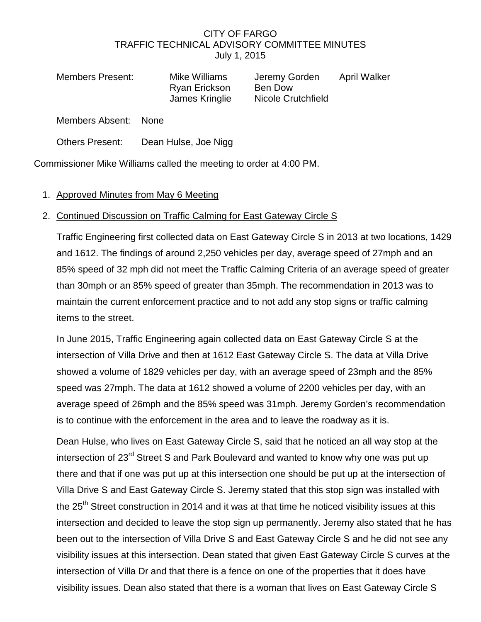### CITY OF FARGO TRAFFIC TECHNICAL ADVISORY COMMITTEE MINUTES July 1, 2015

| <b>Members Present:</b>                                            | Mike Williams<br>Ryan Erickson<br>James Kringlie | Jeremy Gorden<br>Ben Dow<br><b>Nicole Crutchfield</b> | <b>April Walker</b> |
|--------------------------------------------------------------------|--------------------------------------------------|-------------------------------------------------------|---------------------|
| Members Absent: None                                               |                                                  |                                                       |                     |
| <b>Others Present:</b>                                             | Dean Hulse, Joe Nigg                             |                                                       |                     |
| Commissioner Mike Williams called the meeting to order at 4:00 PM. |                                                  |                                                       |                     |

# 1. Approved Minutes from May 6 Meeting

# 2. Continued Discussion on Traffic Calming for East Gateway Circle S

Traffic Engineering first collected data on East Gateway Circle S in 2013 at two locations, 1429 and 1612. The findings of around 2,250 vehicles per day, average speed of 27mph and an 85% speed of 32 mph did not meet the Traffic Calming Criteria of an average speed of greater than 30mph or an 85% speed of greater than 35mph. The recommendation in 2013 was to maintain the current enforcement practice and to not add any stop signs or traffic calming items to the street.

In June 2015, Traffic Engineering again collected data on East Gateway Circle S at the intersection of Villa Drive and then at 1612 East Gateway Circle S. The data at Villa Drive showed a volume of 1829 vehicles per day, with an average speed of 23mph and the 85% speed was 27mph. The data at 1612 showed a volume of 2200 vehicles per day, with an average speed of 26mph and the 85% speed was 31mph. Jeremy Gorden's recommendation is to continue with the enforcement in the area and to leave the roadway as it is.

Dean Hulse, who lives on East Gateway Circle S, said that he noticed an all way stop at the intersection of 23<sup>rd</sup> Street S and Park Boulevard and wanted to know why one was put up there and that if one was put up at this intersection one should be put up at the intersection of Villa Drive S and East Gateway Circle S. Jeremy stated that this stop sign was installed with the  $25<sup>th</sup>$  Street construction in 2014 and it was at that time he noticed visibility issues at this intersection and decided to leave the stop sign up permanently. Jeremy also stated that he has been out to the intersection of Villa Drive S and East Gateway Circle S and he did not see any visibility issues at this intersection. Dean stated that given East Gateway Circle S curves at the intersection of Villa Dr and that there is a fence on one of the properties that it does have visibility issues. Dean also stated that there is a woman that lives on East Gateway Circle S